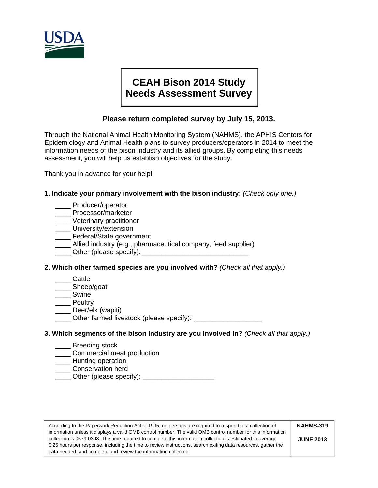

# **CEAH Bison 2014 Study Needs Assessment Survey**

# **Please return completed survey by July 15, 2013.**

Through the National Animal Health Monitoring System (NAHMS), the APHIS Centers for Epidemiology and Animal Health plans to survey producers/operators in 2014 to meet the information needs of the bison industry and its allied groups. By completing this needs assessment, you will help us establish objectives for the study.

Thank you in advance for your help!

## **1. Indicate your primary involvement with the bison industry:** *(Check only one.)*

- \_\_\_\_ Producer/operator
- \_\_\_\_ Processor/marketer
- \_\_\_\_ Veterinary practitioner
- \_\_\_\_ University/extension
- **\_\_\_\_\_** Federal/State government
- \_\_\_\_ Allied industry (e.g., pharmaceutical company, feed supplier)
- Other (please specify):

## **2. Which other farmed species are you involved with?** *(Check all that apply.)*

- \_\_\_\_ Cattle
- \_\_\_\_ Sheep/goat
- \_\_\_\_ Swine
- \_\_\_\_ Poultry
- \_\_\_\_ Deer/elk (wapiti)
- \_\_\_\_ Other farmed livestock (please specify): \_\_\_\_\_\_\_\_\_\_\_\_\_\_\_\_\_\_

## **3. Which segments of the bison industry are you involved in?** *(Check all that apply.)*

- \_\_\_\_ Breeding stock
- **\_\_\_\_\_** Commercial meat production
- **\_\_\_\_** Hunting operation
- **\_\_\_\_\_** Conservation herd
- \_\_\_\_ Other (please specify): \_\_\_\_\_\_\_\_\_\_\_\_\_\_\_\_\_\_\_

According to the Paperwork Reduction Act of 1995, no persons are required to respond to a collection of information unless it displays a valid OMB control number. The valid OMB control number for this information collection is 0579-0398. The time required to complete this information collection is estimated to average 0.25 hours per response, including the time to review instructions, search exiting data resources, gather the data needed, and complete and review the information collected. **NAHMS-319 JUNE 2013**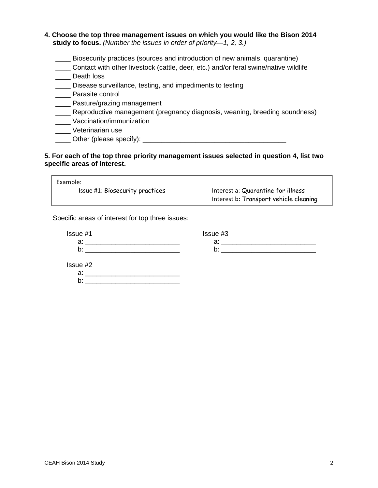- **4. Choose the top three management issues on which you would like the Bison 2014 study to focus.** *(Number the issues in order of priority—1, 2, 3.)* 
	- Biosecurity practices (sources and introduction of new animals, quarantine)
	- \_\_\_\_ Contact with other livestock (cattle, deer, etc.) and/or feral swine/native wildlife
	- \_\_\_\_ Death loss
	- \_\_\_\_ Disease surveillance, testing, and impediments to testing
	- \_\_\_\_ Parasite control
	- \_\_\_\_ Pasture/grazing management
	- \_\_\_\_ Reproductive management (pregnancy diagnosis, weaning, breeding soundness)
	- \_\_\_\_ Vaccination/immunization
	- \_\_\_\_ Veterinarian use
	- Other (please specify):  $\Box$

#### **5. For each of the top three priority management issues selected in question 4, list two specific areas of interest.**

| Example:                               |                                        |
|----------------------------------------|----------------------------------------|
| <b>Issue #1: Biosecurity practices</b> | Interest a: Quarantine for illness     |
|                                        | Interest b: Transport vehicle cleaning |

Specific areas of interest for top three issues:

| Issue #1        | Issue #3 |  |
|-----------------|----------|--|
| a:              | a:       |  |
| b:              | b        |  |
|                 |          |  |
| Issue #2        |          |  |
| a:              |          |  |
| . .<br><b>D</b> |          |  |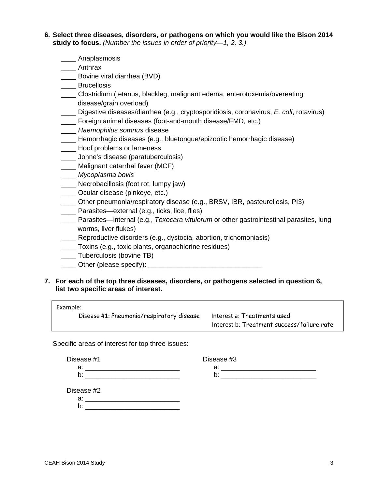- **6. Select three diseases, disorders, or pathogens on which you would like the Bison 2014 study to focus.** *(Number the issues in order of priority—1, 2, 3.)* 
	- \_\_\_\_ Anaplasmosis
	- \_\_\_\_ Anthrax
	- \_\_\_\_ Bovine viral diarrhea (BVD)
	- \_\_\_\_ Brucellosis
	- \_\_\_\_ Clostridium (tetanus, blackleg, malignant edema, enterotoxemia/overeating disease/grain overload)
	- \_\_\_\_ Digestive diseases/diarrhea (e.g., cryptosporidiosis, coronavirus, *E. coli*, rotavirus)
	- \_\_\_\_ Foreign animal diseases (foot-and-mouth disease/FMD, etc.)
	- \_\_\_\_ *Haemophilus somnus* disease
	- \_\_\_\_ Hemorrhagic diseases (e.g., bluetongue/epizootic hemorrhagic disease)
	- **\_\_\_\_** Hoof problems or lameness
	- \_\_\_\_ Johne's disease (paratuberculosis)
	- \_\_\_\_ Malignant catarrhal fever (MCF)
	- \_\_\_\_ *Mycoplasma bovis*
	- \_\_\_\_ Necrobacillosis (foot rot, lumpy jaw)
	- \_\_\_\_ Ocular disease (pinkeye, etc.)
	- \_\_\_\_ Other pneumonia/respiratory disease (e.g., BRSV, IBR, pasteurellosis, PI3)
	- \_\_\_\_ Parasites—external (e.g., ticks, lice, flies)
	- \_\_\_\_ Parasites—internal (e.g., *Toxocara vitulorum* or other gastrointestinal parasites, lung worms, liver flukes)
	- \_\_\_\_ Reproductive disorders (e.g., dystocia, abortion, trichomoniasis)
	- \_\_\_\_ Toxins (e.g., toxic plants, organochlorine residues)
	- \_\_\_\_ Tuberculosis (bovine TB)
	- \_\_\_\_ Other (please specify): \_\_\_\_\_\_\_\_\_\_\_\_\_\_\_\_\_\_\_\_\_\_\_\_\_\_\_\_\_\_
- **7. For each of the top three diseases, disorders, or pathogens selected in question 6, list two specific areas of interest.**

| Example: |                                           |                                            |
|----------|-------------------------------------------|--------------------------------------------|
|          | Disease #1: Pneumonia/respiratory disease | Interest a: Treatments used                |
|          |                                           | Interest b: Treatment success/failure rate |

Specific areas of interest for top three issues:

| Disease #1 | Disease #3 |
|------------|------------|
|            |            |
|            |            |

a: \_\_\_\_\_\_\_\_\_\_\_\_\_\_\_\_\_\_\_\_\_\_\_\_\_ a: \_\_\_\_\_\_\_\_\_\_\_\_\_\_\_\_\_\_\_\_\_\_\_\_\_

 $\mathsf{b}$ :

Disease #2